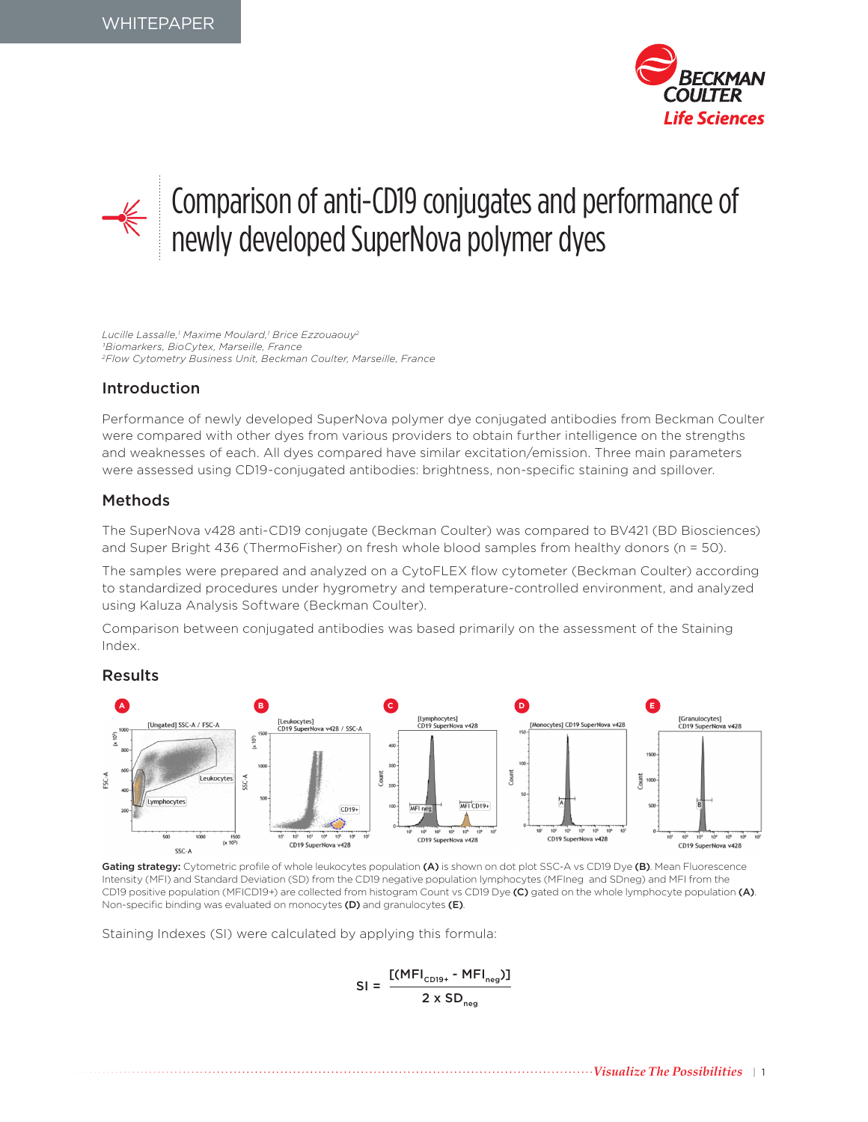



# Comparison of anti-CD19 conjugates and performance of newly developed SuperNova polymer dyes

*Lucille Lassalle,1 Maxime Moulard,1 Brice Ezzouaouy2 1Biomarkers, BioCytex, Marseille, France 2Flow Cytometry Business Unit, Beckman Coulter, Marseille, France*

## Introduction

Performance of newly developed SuperNova polymer dye conjugated antibodies from Beckman Coulter were compared with other dyes from various providers to obtain further intelligence on the strengths and weaknesses of each. All dyes compared have similar excitation/emission. Three main parameters were assessed using CD19-conjugated antibodies: brightness, non-specific staining and spillover.

## Methods

The SuperNova v428 anti-CD19 conjugate (Beckman Coulter) was compared to BV421 (BD Biosciences) and Super Bright 436 (ThermoFisher) on fresh whole blood samples from healthy donors (n = 50).

The samples were prepared and analyzed on a CytoFLEX flow cytometer (Beckman Coulter) according to standardized procedures under hygrometry and temperature-controlled environment, and analyzed using Kaluza Analysis Software (Beckman Coulter).

Comparison between conjugated antibodies was based primarily on the assessment of the Staining Index.

#### Results



Gating strategy: Cytometric profile of whole leukocytes population (A) is shown on dot plot SSC-A vs CD19 Dye (B). Mean Fluorescence Intensity (MFI) and Standard Deviation (SD) from the CD19 negative population lymphocytes (MFIneg and SDneg) and MFI from the CD19 positive population (MFICD19+) are collected from histogram Count vs CD19 Dye (C) gated on the whole lymphocyte population (A). Non-specific binding was evaluated on monocytes (D) and granulocytes (E).

Staining Indexes (SI) were calculated by applying this formula:

$$
SI = \frac{[(MFI_{CD19+} - MFI_{neg})]}{2 \times SD_{neg}}
$$

*Visualize The Possibilities* | 1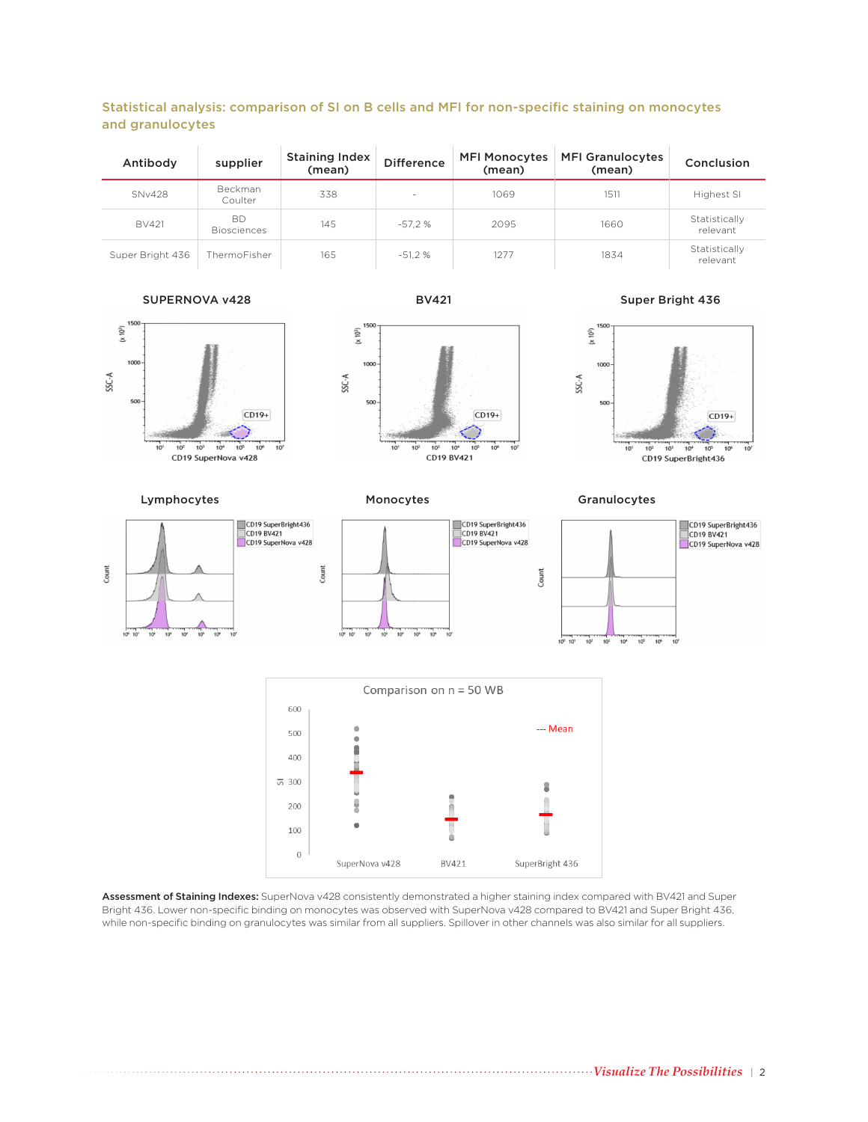### Statistical analysis: comparison of SI on B cells and MFI for non-specific staining on monocytes and granulocytes

| Antibody         | supplier                        | <b>Staining Index</b><br>(mean) | <b>Difference</b>        | <b>MFI Monocytes</b><br>(mean) | <b>MFI Granulocytes</b><br>(mean) | Conclusion                |
|------------------|---------------------------------|---------------------------------|--------------------------|--------------------------------|-----------------------------------|---------------------------|
| <b>SNv428</b>    | Beckman<br>Coulter              | 338                             | $\overline{\phantom{a}}$ | 1069                           | 1511                              | Highest SI                |
| <b>BV421</b>     | <b>BD</b><br><b>Biosciences</b> | 145                             | $-57.2%$                 | 2095                           | 1660                              | Statistically<br>relevant |
| Super Bright 436 | ThermoFisher                    | 165                             | $-51.2%$                 | 1277                           | 1834                              | Statistically<br>relevant |

#### SUPERNOVA v428 BV421 BV421 Super Bright 436



**CD19 BV421** 

 $CD19+$ 



 $10<sup>1</sup>$  $10<sup>2</sup>$  $10^{3}$  $10$  $10^{-1}$  $\frac{1}{10}$  $10^{7}$ 

 $(x 10<sup>3</sup>)$ 

SSC-A

1000

500

Lymphocytes **Monocytes** Monocytes Granulocytes





Assessment of Staining Indexes: SuperNova v428 consistently demonstrated a higher staining index compared with BV421 and Super Bright 436. Lower non-specific binding on monocytes was observed with SuperNova v428 compared to BV421 and Super Bright 436, while non-specific binding on granulocytes was similar from all suppliers. Spillover in other channels was also similar for all suppliers.